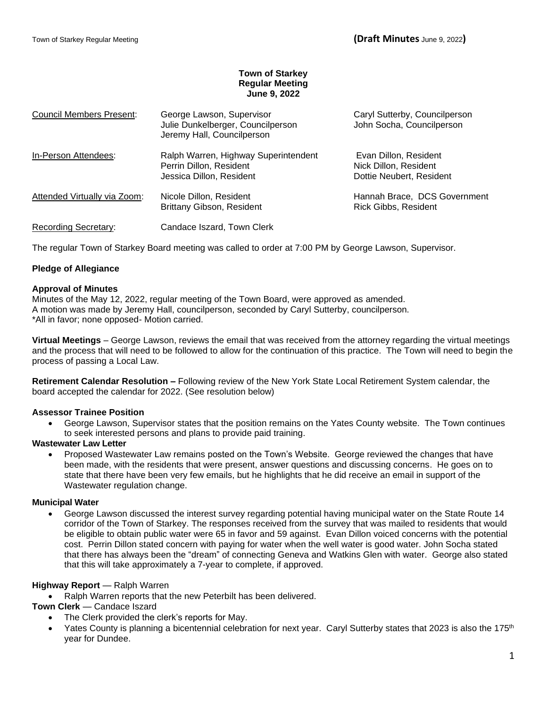# **Town of Starkey Regular Meeting June 9, 2022**

| <b>Council Members Present:</b> | George Lawson, Supervisor<br>Julie Dunkelberger, Councilperson<br>Jeremy Hall, Councilperson | Caryl Sutterby, Councilperson<br>John Socha, Councilperson                 |  |  |
|---------------------------------|----------------------------------------------------------------------------------------------|----------------------------------------------------------------------------|--|--|
| In-Person Attendees:            | Ralph Warren, Highway Superintendent<br>Perrin Dillon, Resident<br>Jessica Dillon, Resident  | Evan Dillon, Resident<br>Nick Dillon, Resident<br>Dottie Neubert, Resident |  |  |
| Attended Virtually via Zoom:    | Nicole Dillon, Resident<br><b>Brittany Gibson, Resident</b>                                  | Hannah Brace, DCS Government<br>Rick Gibbs, Resident                       |  |  |
| Recording Secretary:            | Candace Iszard, Town Clerk                                                                   |                                                                            |  |  |

The regular Town of Starkey Board meeting was called to order at 7:00 PM by George Lawson, Supervisor.

## **Pledge of Allegiance**

## **Approval of Minutes**

Minutes of the May 12, 2022, regular meeting of the Town Board, were approved as amended. A motion was made by Jeremy Hall, councilperson, seconded by Caryl Sutterby, councilperson. \*All in favor; none opposed- Motion carried.

**Virtual Meetings** – George Lawson, reviews the email that was received from the attorney regarding the virtual meetings and the process that will need to be followed to allow for the continuation of this practice. The Town will need to begin the process of passing a Local Law.

**Retirement Calendar Resolution –** Following review of the New York State Local Retirement System calendar, the board accepted the calendar for 2022. (See resolution below)

## **Assessor Trainee Position**

• George Lawson, Supervisor states that the position remains on the Yates County website. The Town continues to seek interested persons and plans to provide paid training.

## **Wastewater Law Letter**

• Proposed Wastewater Law remains posted on the Town's Website. George reviewed the changes that have been made, with the residents that were present, answer questions and discussing concerns. He goes on to state that there have been very few emails, but he highlights that he did receive an email in support of the Wastewater regulation change.

## **Municipal Water**

• George Lawson discussed the interest survey regarding potential having municipal water on the State Route 14 corridor of the Town of Starkey. The responses received from the survey that was mailed to residents that would be eligible to obtain public water were 65 in favor and 59 against. Evan Dillon voiced concerns with the potential cost. Perrin Dillon stated concern with paying for water when the well water is good water. John Socha stated that there has always been the "dream" of connecting Geneva and Watkins Glen with water. George also stated that this will take approximately a 7-year to complete, if approved.

## **Highway Report** — Ralph Warren

• Ralph Warren reports that the new Peterbilt has been delivered.

## **Town Clerk** — Candace Iszard

- The Clerk provided the clerk's reports for May.
- Yates County is planning a bicentennial celebration for next year. Caryl Sutterby states that 2023 is also the 175<sup>th</sup> year for Dundee.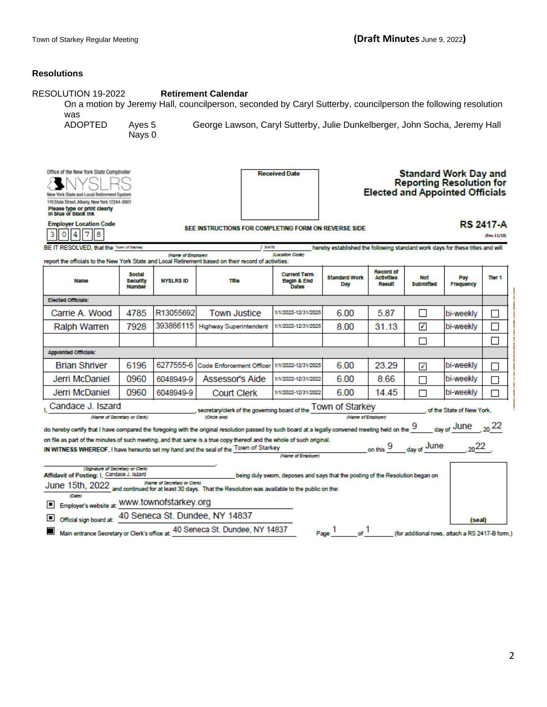# **Resolutions**

| RESOLUTION 19-2022<br><b>Retirement Calendar</b><br>On a motion by Jeremy Hall, councilperson, seconded by Caryl Sutterby, councilperson the following resolution<br>was                                                                                                                                                             |                                            |                    |                                                               |                                                    |                                                                                                           |                                          |                  |                           |                   |  |
|--------------------------------------------------------------------------------------------------------------------------------------------------------------------------------------------------------------------------------------------------------------------------------------------------------------------------------------|--------------------------------------------|--------------------|---------------------------------------------------------------|----------------------------------------------------|-----------------------------------------------------------------------------------------------------------|------------------------------------------|------------------|---------------------------|-------------------|--|
| <b>ADOPTED</b><br>George Lawson, Caryl Sutterby, Julie Dunkelberger, John Socha, Jeremy Hall<br>Ayes 5<br>Nays 0                                                                                                                                                                                                                     |                                            |                    |                                                               |                                                    |                                                                                                           |                                          |                  |                           |                   |  |
| Office of the New York State Comptroller<br><b>Received Date</b><br>New York State and Local Retirement System<br>110 State Street, Albany, New York 12244-0001<br>Please type or print clearly<br>In blue or black ink                                                                                                              |                                            |                    |                                                               |                                                    | <b>Standard Work Day and</b><br><b>Reporting Resolution for</b><br><b>Elected and Appointed Officials</b> |                                          |                  |                           |                   |  |
| <b>Employer Location Code</b><br><b>RS 2417-A</b><br>SEE INSTRUCTIONS FOR COMPLETING FORM ON REVERSE SIDE<br>l 8<br>7<br>0<br>4<br>3<br>(Rev.11/19)                                                                                                                                                                                  |                                            |                    |                                                               |                                                    |                                                                                                           |                                          |                  |                           |                   |  |
| BE IT RESOLVED, that the Town of Starkey                                                                                                                                                                                                                                                                                             |                                            | (Name of Employer) | 1.30478                                                       | (Location Code)                                    | hereby established the following standard work days for these titles and will                             |                                          |                  |                           |                   |  |
| report the officials to the New York State and Local Retirement based on their record of activities:                                                                                                                                                                                                                                 |                                            |                    |                                                               |                                                    |                                                                                                           |                                          |                  |                           |                   |  |
| <b>Name</b>                                                                                                                                                                                                                                                                                                                          | <b>Social</b><br>Security<br><b>Number</b> | <b>NYSLRS ID</b>   | <b>Title</b>                                                  | <b>Current Term</b><br>Begin & End<br><b>Dates</b> | <b>Standard Work</b><br>Day                                                                               | Record of<br><b>Activities</b><br>Result | Not<br>Submitted | Pay<br>Frequency          | Tier <sub>1</sub> |  |
| <b>Elected Officials:</b>                                                                                                                                                                                                                                                                                                            |                                            |                    |                                                               |                                                    |                                                                                                           |                                          |                  |                           |                   |  |
| Carrie A. Wood                                                                                                                                                                                                                                                                                                                       | 4785                                       | R13055692          | <b>Town Justice</b>                                           | 1/1/2022-12/31/2025                                | 6.00                                                                                                      | 5.87                                     |                  | bi-weekly                 | $\Box$            |  |
| Ralph Warren                                                                                                                                                                                                                                                                                                                         | 7928                                       | 393866115          | <b>Highway Superintendent</b>                                 | 1/1/2022-12/31/2025                                | 8.00                                                                                                      | 31.13                                    | ✔                | bi-weekly                 | П                 |  |
|                                                                                                                                                                                                                                                                                                                                      |                                            |                    |                                                               |                                                    |                                                                                                           |                                          | П                |                           |                   |  |
| <b>Appointed Officials:</b>                                                                                                                                                                                                                                                                                                          |                                            |                    |                                                               |                                                    |                                                                                                           |                                          |                  |                           |                   |  |
| <b>Brian Shriver</b>                                                                                                                                                                                                                                                                                                                 | 6196                                       | 6277555-6          | <b>Code Enforcement Officer</b>                               | 1/1/2022-12/31/2025                                | 6.00                                                                                                      | 23.29                                    | ✔                | bi-weeklv                 | m.                |  |
| Jerri McDaniel                                                                                                                                                                                                                                                                                                                       | 0960                                       | 6048949-9          | Assessor's Aide                                               | 1/1/2022-12/31/2022                                | 6.00                                                                                                      | 8.66                                     | П                | bi-weekly                 | П                 |  |
| Jerri McDaniel                                                                                                                                                                                                                                                                                                                       | 0960                                       | 6048949-9          | <b>Court Clerk</b>                                            | 1/1/2022-12/31/2022                                | 6.00                                                                                                      | 14 45                                    | П                | bi-weekly                 | П                 |  |
| Candace J. Iszard                                                                                                                                                                                                                                                                                                                    |                                            |                    | secretary/clerk of the governing board of the TOWN Of Starkey |                                                    |                                                                                                           |                                          |                  | of the State of New York. |                   |  |
| (Name of Secretary or Clerk)                                                                                                                                                                                                                                                                                                         |                                            |                    | (Circle and)                                                  |                                                    | (Name of Employer)                                                                                        |                                          |                  |                           |                   |  |
| $_{\text{day of}}$ June $_{\text{.20}}$ 22<br>do hereby certify that I have compared the foregoing with the original resolution passed by such board at a legally convened meeting held on the $\frac{9}{2}$<br>on file as part of the minutes of such meeting, and that same is a true copy thereof and the whole of such original. |                                            |                    |                                                               |                                                    |                                                                                                           |                                          |                  |                           |                   |  |
| on this 9 day of June<br>$20^{22}$<br>IN WITNESS WHEREOF, I have hereunto set my hand and the seal of the Town of Starkey                                                                                                                                                                                                            |                                            |                    |                                                               |                                                    |                                                                                                           |                                          |                  |                           |                   |  |
|                                                                                                                                                                                                                                                                                                                                      |                                            |                    |                                                               | (Name of Employer)                                 |                                                                                                           |                                          |                  |                           |                   |  |
| (Signature of Secretary or Clerk)<br>Affidavit of Posting: I. Candace J. Iszard<br>being duly sworn, deposes and says that the posting of the Resolution began on                                                                                                                                                                    |                                            |                    |                                                               |                                                    |                                                                                                           |                                          |                  |                           |                   |  |
| (Name of Secretary or Clerk)<br>June 15th, 2022 and continued for at least 30 days. That the Resolution was available to the public on the:                                                                                                                                                                                          |                                            |                    |                                                               |                                                    |                                                                                                           |                                          |                  |                           |                   |  |
| (Date)<br>Employer's website at: WWW.townofstarkey.org<br>ш                                                                                                                                                                                                                                                                          |                                            |                    |                                                               |                                                    |                                                                                                           |                                          |                  |                           |                   |  |
| 40 Seneca St. Dundee, NY 14837<br>Official sign board at:<br>(seal)                                                                                                                                                                                                                                                                  |                                            |                    |                                                               |                                                    |                                                                                                           |                                          |                  |                           |                   |  |
| Main entrance Secretary or Clerk's office at: 40 Seneca St. Dundee, NY 14837<br>Page $\frac{1}{\text{of}}$ of $1$<br>▉<br>(for additional rows, attach a RS 2417-B form.)                                                                                                                                                            |                                            |                    |                                                               |                                                    |                                                                                                           |                                          |                  |                           |                   |  |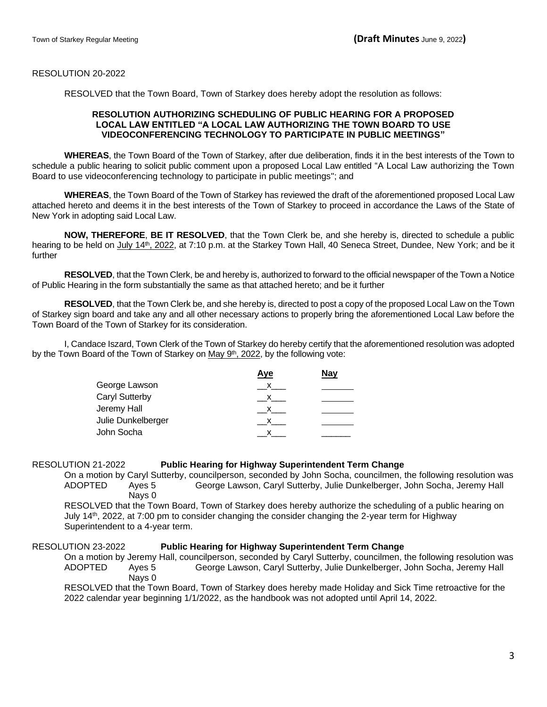#### RESOLUTION 20-2022

RESOLVED that the Town Board, Town of Starkey does hereby adopt the resolution as follows:

#### **RESOLUTION AUTHORIZING SCHEDULING OF PUBLIC HEARING FOR A PROPOSED LOCAL LAW ENTITLED "A LOCAL LAW AUTHORIZING THE TOWN BOARD TO USE VIDEOCONFERENCING TECHNOLOGY TO PARTICIPATE IN PUBLIC MEETINGS"**

**WHEREAS**, the Town Board of the Town of Starkey, after due deliberation, finds it in the best interests of the Town to schedule a public hearing to solicit public comment upon a proposed Local Law entitled "A Local Law authorizing the Town Board to use videoconferencing technology to participate in public meetings"; and

**WHEREAS**, the Town Board of the Town of Starkey has reviewed the draft of the aforementioned proposed Local Law attached hereto and deems it in the best interests of the Town of Starkey to proceed in accordance the Laws of the State of New York in adopting said Local Law.

**NOW, THEREFORE**, **BE IT RESOLVED**, that the Town Clerk be, and she hereby is, directed to schedule a public hearing to be held on July 14<sup>th</sup>, 2022, at 7:10 p.m. at the Starkey Town Hall, 40 Seneca Street, Dundee, New York; and be it further

**RESOLVED**, that the Town Clerk, be and hereby is, authorized to forward to the official newspaper of the Town a Notice of Public Hearing in the form substantially the same as that attached hereto; and be it further

**RESOLVED**, that the Town Clerk be, and she hereby is, directed to post a copy of the proposed Local Law on the Town of Starkey sign board and take any and all other necessary actions to properly bring the aforementioned Local Law before the Town Board of the Town of Starkey for its consideration.

I, Candace Iszard, Town Clerk of the Town of Starkey do hereby certify that the aforementioned resolution was adopted by the Town Board of the Town of Starkey on May 9<sup>th</sup>, 2022, by the following vote:

| <b>Nay</b> |
|------------|
|            |
|            |
|            |
|            |
|            |
|            |

#### RESOLUTION 21-2022 **Public Hearing for Highway Superintendent Term Change**

On a motion by Caryl Sutterby, councilperson, seconded by John Socha, councilmen, the following resolution was ADOPTED Ayes 5 George Lawson, Caryl Sutterby, Julie Dunkelberger, John Socha, Jeremy Hall Nays 0

RESOLVED that the Town Board, Town of Starkey does hereby authorize the scheduling of a public hearing on July 14th, 2022, at 7:00 pm to consider changing the consider changing the 2-year term for Highway Superintendent to a 4-year term.

## RESOLUTION 23-2022 **Public Hearing for Highway Superintendent Term Change**

On a motion by Jeremy Hall, councilperson, seconded by Caryl Sutterby, councilmen, the following resolution was ADOPTED Ayes 5 George Lawson, Caryl Sutterby, Julie Dunkelberger, John Socha, Jeremy Hall Nays 0

RESOLVED that the Town Board, Town of Starkey does hereby made Holiday and Sick Time retroactive for the 2022 calendar year beginning 1/1/2022, as the handbook was not adopted until April 14, 2022.